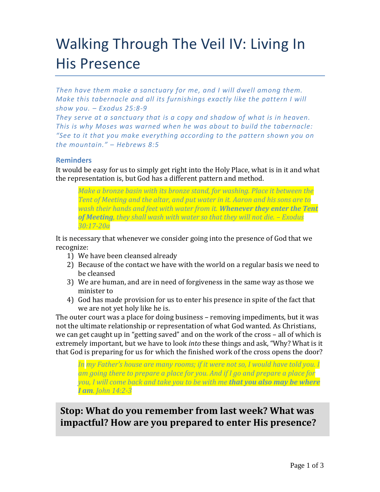# Walking Through The Veil IV: Living In His Presence

*Then have them make a sanctuary for me, and I will dwell among them. Make this tabernacle and all its furnishings exactly like the pattern I will show you. – Exodus 25:8-9*

*They serve at a sanctuary that is a copy and shadow of what is in heaven. This is why Moses was warned when he was about to build the tabernacle: "See to it that you make everything according to the pattern shown you on the mountain." – Hebrews 8:5*

# **Reminders**

It would be easy for us to simply get right into the Holy Place, what is in it and what the representation is, but God has a different pattern and method.

*Make a bronze basin with its bronze stand, for washing. Place it between the Tent of Meeting and the altar, and put water in it. Aaron and his sons are to wash their hands and feet with water from it. Whenever they enter the Tent of Meeting, they shall wash with water so that they will not die. – Exodus 30:17-20a*

It is necessary that whenever we consider going into the presence of God that we recognize:

- 1) We have been cleansed already
- 2) Because of the contact we have with the world on a regular basis we need to be cleansed
- 3) We are human, and are in need of forgiveness in the same way as those we minister to
- 4) God has made provision for us to enter his presence in spite of the fact that we are not yet holy like he is.

The outer court was a place for doing business – removing impediments, but it was not the ultimate relationship or representation of what God wanted. As Christians, we can get caught up in "getting saved" and on the work of the cross – all of which is extremely important, but we have to look *into* these things and ask, "Why? What is it that God is preparing for us for which the finished work of the cross opens the door?

*In my Father's house are many rooms; if it were not so, I would have told you. I am going there to prepare a place for you. And if I go and prepare a place for you, I will come back and take you to be with me that you also may be where I am. John 14:2-3*

# **Stop: What do you remember from last week? What was impactful? How are you prepared to enter His presence?**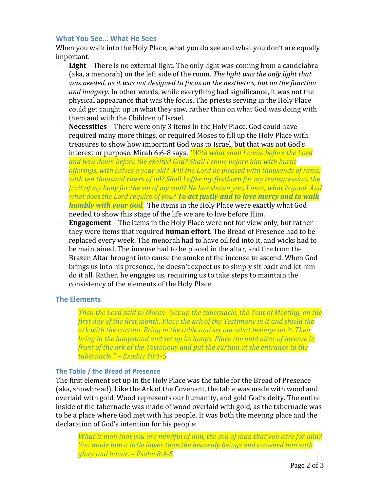# **What You See… What He Sees**

When you walk into the Holy Place, what you do see and what you don't are equally important.

- Light There is no external light. The only light was coming from a candelabra (aka, a menorah) on the left side of the room. *The light was the only light that was needed, as it was not designed to focus on the aesthetics, but on the function and imagery*. In other words, while everything had significance, it was not the physical appearance that was the focus. The priests serving in the Holy Place could get caught up in what they saw, rather than on what God was doing with them and with the Children of Israel.
- **Necessities**  There were only 3 items in the Holy Place. God could have required many more things, or required Moses to fill up the Holy Place with treasures to show how important God was to Israel, but that was not God's interest or purpose. Micah 6:6-8 says, "*With what shall I come before the Lord and bow down before the exalted God? Shall I come before him with burnt offerings, with calves a year old? Will the Lord be pleased with thousands of rams, with ten thousand rivers of oil? Shall I offer my firstborn for my transgression, the fruit of my body for the sin of my soul? He has shown you, I man, what is good. And what does the Lord require of you? To act justly and to love mercy and to walk humbly with your God.* The items in the Holy Place were exactly what God needed to show this stage of the life we are to live before Him.
- **Engagement** The items in the Holy Place were not for view only, but rather they were items that required **human effort**. The Bread of Presence had to be replaced every week. The menorah had to have oil fed into it, and wicks had to be maintained. The incense had to be placed in the altar, and fire from the Brazen Altar brought into cause the smoke of the incense to ascend. When God brings us into his presence, he doesn't expect us to simply sit back and let him do it all. Rather, he engages us, requiring us to take steps to maintain the consistency of the elements of the Holy Place

### **The Elements**

*Then the Lord said to Moses: "Set up the tabernacle, the Tent of Meeting, on the first day of the first month. Place the ark of the Testimony in it and shield the ark with the curtain. Bring in the table and set out what belongs on it. Then bring in the lampstand and set up its lamps. Place the hold altar of incense in front of the ark of the Testimony and put the curtain at the entrance to the tabernacle." – Exodus 40:1-5*

### **The Table / the Bread of Presence**

The first element set up in the Holy Place was the table for the Bread of Presence (aka, showbread). Like the Ark of the Covenant, the table was made with wood and overlaid with gold. Wood represents our humanity, and gold God's deity. The entire inside of the tabernacle was made of wood overlaid with gold, as the tabernacle was to be a place where God met with his people. It was both the meeting place and the declaration of God's intention for his people:

*What is man that you are mindful of him, the son of man that you care for him? You made him a little lower than the heavenly beings and crowned him with glory and honor. – Psalm 8:4-5*